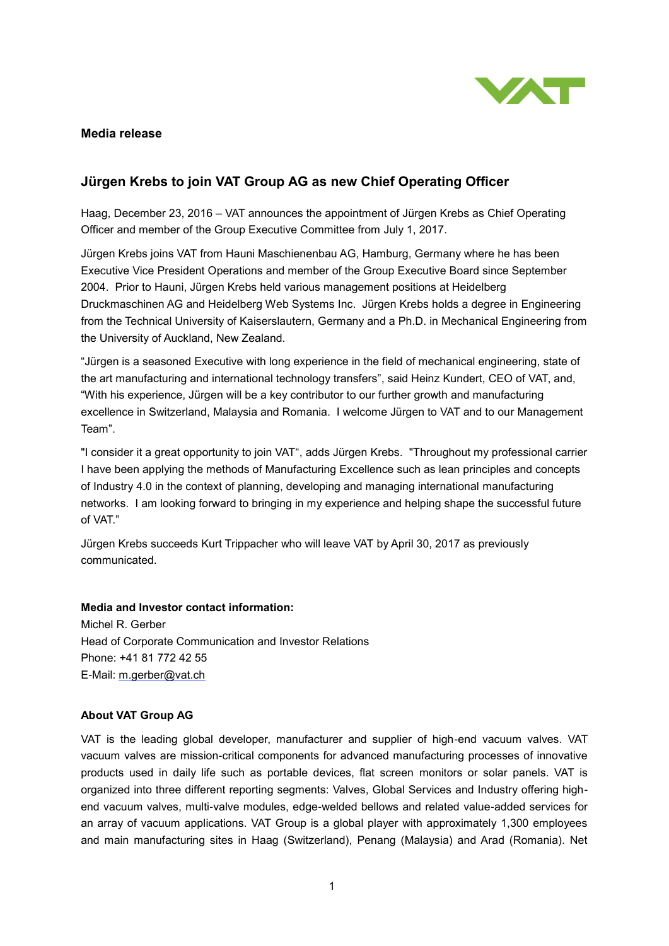

## **Media release**

## **Jürgen Krebs to join VAT Group AG as new Chief Operating Officer**

Haag, December 23, 2016 – VAT announces the appointment of Jürgen Krebs as Chief Operating Officer and member of the Group Executive Committee from July 1, 2017.

Jürgen Krebs joins VAT from Hauni Maschienenbau AG, Hamburg, Germany where he has been Executive Vice President Operations and member of the Group Executive Board since September 2004. Prior to Hauni, Jürgen Krebs held various management positions at Heidelberg Druckmaschinen AG and Heidelberg Web Systems Inc. Jürgen Krebs holds a degree in Engineering from the Technical University of Kaiserslautern, Germany and a Ph.D. in Mechanical Engineering from the University of Auckland, New Zealand.

"Jürgen is a seasoned Executive with long experience in the field of mechanical engineering, state of the art manufacturing and international technology transfers", said Heinz Kundert, CEO of VAT, and, "With his experience, Jürgen will be a key contributor to our further growth and manufacturing excellence in Switzerland, Malaysia and Romania. I welcome Jürgen to VAT and to our Management Team".

"I consider it a great opportunity to join VAT", adds Jürgen Krebs. "Throughout my professional carrier I have been applying the methods of Manufacturing Excellence such as lean principles and concepts of Industry 4.0 in the context of planning, developing and managing international manufacturing networks. I am looking forward to bringing in my experience and helping shape the successful future of VAT."

Jürgen Krebs succeeds Kurt Trippacher who will leave VAT by April 30, 2017 as previously communicated.

## **Media and Investor contact information:**

Michel R. Gerber Head of Corporate Communication and Investor Relations Phone: +41 81 772 42 55 E-Mail: [m.gerber@vat.ch](mailto:m.gerber@vat.ch)

## **About VAT Group AG**

VAT is the leading global developer, manufacturer and supplier of high-end vacuum valves. VAT vacuum valves are mission-critical components for advanced manufacturing processes of innovative products used in daily life such as portable devices, flat screen monitors or solar panels. VAT is organized into three different reporting segments: Valves, Global Services and Industry offering highend vacuum valves, multi-valve modules, edge-welded bellows and related value-added services for an array of vacuum applications. VAT Group is a global player with approximately 1,300 employees and main manufacturing sites in Haag (Switzerland), Penang (Malaysia) and Arad (Romania). Net